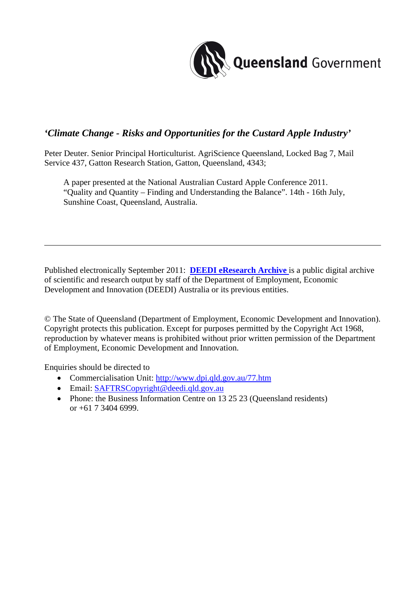

### *'Climate Change - Risks and Opportunities for the Custard Apple Industry'*

Peter Deuter. Senior Principal Horticulturist. AgriScience Queensland, Locked Bag 7, Mail Service 437, Gatton Research Station, Gatton, Queensland, 4343;

A paper presented at the National Australian Custard Apple Conference 2011. "Quality and Quantity – Finding and Understanding the Balance". 14th - 16th July, Sunshine Coast, Queensland, Australia.

Published electronically September 2011: **[DEEDI eResearch Archive](http://era.dpi.qld.gov.au/)** is a public digital archive of scientific and research output by staff of the Department of Employment, Economic Development and Innovation (DEEDI) Australia or its previous entities.

© The State of Queensland (Department of Employment, Economic Development and Innovation). Copyright protects this publication. Except for purposes permitted by the Copyright Act 1968, reproduction by whatever means is prohibited without prior written permission of the Department of Employment, Economic Development and Innovation.

Enquiries should be directed to

- Commercialisation Unit: http://www.dpi.qld.gov.au/77.htm
- Email: [SAFTRSCopyright@deedi.qld.gov.au](mailto:SAFTRSCopyright@deedi.qld.gov.au)
- Phone: the Business Information Centre on 13 25 23 (Queensland residents) or +61 7 3404 6999.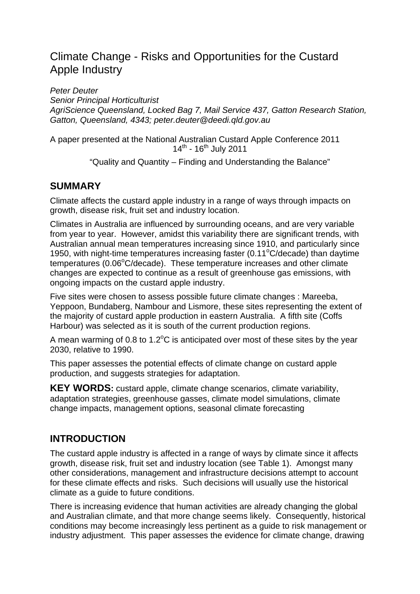# Climate Change - Risks and Opportunities for the Custard Apple Industry

*Peter Deuter Senior Principal Horticulturist AgriScience Queensland, Locked Bag 7, Mail Service 437, Gatton Research Station, Gatton, Queensland, 4343; peter.deuter@deedi.qld.gov.au* 

A paper presented at the National Australian Custard Apple Conference 2011  $14^{th}$  -  $16^{th}$  July 2011

"Quality and Quantity – Finding and Understanding the Balance"

### **SUMMARY**

Climate affects the custard apple industry in a range of ways through impacts on growth, disease risk, fruit set and industry location.

Climates in Australia are influenced by surrounding oceans, and are very variable from year to year. However, amidst this variability there are significant trends, with Australian annual mean temperatures increasing since 1910, and particularly since 1950, with night-time temperatures increasing faster (0.11°C/decade) than daytime temperatures (0.06°C/decade). These temperature increases and other climate changes are expected to continue as a result of greenhouse gas emissions, with ongoing impacts on the custard apple industry.

Five sites were chosen to assess possible future climate changes : Mareeba, Yeppoon, Bundaberg, Nambour and Lismore, these sites representing the extent of the majority of custard apple production in eastern Australia. A fifth site (Coffs Harbour) was selected as it is south of the current production regions.

A mean warming of 0.8 to 1.2 $^{\circ}$ C is anticipated over most of these sites by the year 2030, relative to 1990.

This paper assesses the potential effects of climate change on custard apple production, and suggests strategies for adaptation.

**KEY WORDS:** custard apple, climate change scenarios, climate variability, adaptation strategies, greenhouse gasses, climate model simulations, climate change impacts, management options, seasonal climate forecasting

### **INTRODUCTION**

The custard apple industry is affected in a range of ways by climate since it affects growth, disease risk, fruit set and industry location (see Table 1). Amongst many other considerations, management and infrastructure decisions attempt to account for these climate effects and risks. Such decisions will usually use the historical climate as a guide to future conditions.

There is increasing evidence that human activities are already changing the global and Australian climate, and that more change seems likely. Consequently, historical conditions may become increasingly less pertinent as a guide to risk management or industry adjustment. This paper assesses the evidence for climate change, drawing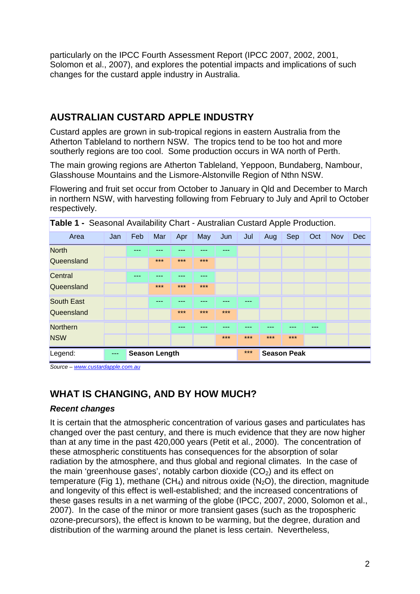particularly on the IPCC Fourth Assessment Report (IPCC 2007, 2002, 2001, Solomon et al., 2007), and explores the potential impacts and implications of such changes for the custard apple industry in Australia.

# **AUSTRALIAN CUSTARD APPLE INDUSTRY**

Custard apples are grown in sub-tropical regions in eastern Australia from the Atherton Tableland to northern NSW. The tropics tend to be too hot and more southerly regions are too cool. Some production occurs in WA north of Perth.

The main growing regions are Atherton Tableland, Yeppoon, Bundaberg, Nambour, Glasshouse Mountains and the Lismore-Alstonville Region of Nthn NSW.

Flowering and fruit set occur from October to January in Qld and December to March in northern NSW, with harvesting following from February to July and April to October respectively.

| <b>Table 1 -</b> Seasonal Availability Chart - Australian Custard Apple Production. |       |     |                      |       |            |       |       |       |                    |     |            |            |
|-------------------------------------------------------------------------------------|-------|-----|----------------------|-------|------------|-------|-------|-------|--------------------|-----|------------|------------|
| Area                                                                                | Jan   | Feb | Mar                  | Apr   | <b>May</b> | Jun   | Jul   | Aug   | <b>Sep</b>         | Oct | <b>Nov</b> | <b>Dec</b> |
| <b>North</b>                                                                        |       | --- |                      |       |            | ---   |       |       |                    |     |            |            |
| Queensland                                                                          |       |     | $***$                | $***$ | $***$      |       |       |       |                    |     |            |            |
| Central                                                                             |       |     |                      |       |            |       |       |       |                    |     |            |            |
| Queensland                                                                          |       |     | $***$                | $***$ | $***$      |       |       |       |                    |     |            |            |
| <b>South East</b>                                                                   |       |     |                      |       |            |       |       |       |                    |     |            |            |
| Queensland                                                                          |       |     |                      | $***$ | $***$      | $***$ |       |       |                    |     |            |            |
| <b>Northern</b>                                                                     |       |     |                      |       |            |       |       |       |                    |     |            |            |
| <b>NSW</b>                                                                          |       |     |                      |       |            | $***$ | $***$ | $***$ | ***                |     |            |            |
| Legend:                                                                             | $---$ |     | <b>Season Length</b> |       |            |       | $***$ |       | <b>Season Peak</b> |     |            |            |

*Source – www.custardapple.com.au*

## **WHAT IS CHANGING, AND BY HOW MUCH?**

#### *Recent changes*

It is certain that the atmospheric concentration of various gases and particulates has changed over the past century, and there is much evidence that they are now higher than at any time in the past 420,000 years (Petit et al., 2000). The concentration of these atmospheric constituents has consequences for the absorption of solar radiation by the atmosphere, and thus global and regional climates. In the case of the main 'greenhouse gases', notably carbon dioxide  $(CO<sub>2</sub>)$  and its effect on temperature (Fig 1), methane (CH<sub>4</sub>) and nitrous oxide (N<sub>2</sub>O), the direction, magnitude and longevity of this effect is well-established; and the increased concentrations of these gases results in a net warming of the globe (IPCC, 2007, 2000, Solomon et al., 2007). In the case of the minor or more transient gases (such as the tropospheric ozone-precursors), the effect is known to be warming, but the degree, duration and distribution of the warming around the planet is less certain. Nevertheless,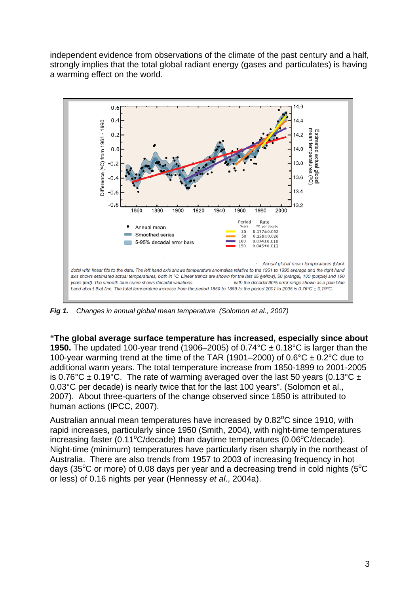independent evidence from observations of the climate of the past century and a half, strongly implies that the total global radiant energy (gases and particulates) is having a warming effect on the world.



*Fig 1. Changes in annual global mean temperature (Solomon et al., 2007)* 

**"The global average surface temperature has increased, especially since about 1950.** The updated 100-year trend (1906–2005) of 0.74°C ± 0.18°C is larger than the 100-year warming trend at the time of the TAR (1901–2000) of  $0.6^{\circ}$ C  $\pm$  0.2°C due to additional warm years. The total temperature increase from 1850-1899 to 2001-2005 is 0.76°C  $\pm$  0.19°C. The rate of warming averaged over the last 50 years (0.13°C  $\pm$ 0.03°C per decade) is nearly twice that for the last 100 years". (Solomon et al., 2007). About three-quarters of the change observed since 1850 is attributed to human actions (IPCC, 2007).

Australian annual mean temperatures have increased by  $0.82^{\circ}$ C since 1910, with rapid increases, particularly since 1950 (Smith, 2004), with night-time temperatures increasing faster (0.11°C/decade) than daytime temperatures (0.06°C/decade). Night-time (minimum) temperatures have particularly risen sharply in the northeast of Australia. There are also trends from 1957 to 2003 of increasing frequency in hot days (35 $\mathrm{^{\circ}C}$  or more) of 0.08 days per year and a decreasing trend in cold nights (5 $\mathrm{^{\circ}C}$ or less) of 0.16 nights per year (Hennessy *et al*., 2004a).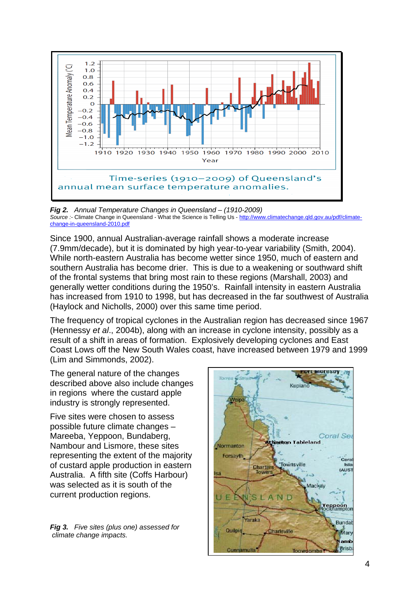

*Fig 2. Annual Temperature Changes in Queensland – (1910-2009)*  Source :- Climate Change in Queensland - What the Science is Telling Us - http://www.climatechange.qld.gov.au/pdf/climatechange-in-queensland-2010.pdf

Since 1900, annual Australian-average rainfall shows a moderate increase (7.9mm/decade), but it is dominated by high year-to-year variability (Smith, 2004). While north-eastern Australia has become wetter since 1950, much of eastern and southern Australia has become drier. This is due to a weakening or southward shift of the frontal systems that bring most rain to these regions (Marshall, 2003) and generally wetter conditions during the 1950's. Rainfall intensity in eastern Australia has increased from 1910 to 1998, but has decreased in the far southwest of Australia (Haylock and Nicholls, 2000) over this same time period.

The frequency of tropical cyclones in the Australian region has decreased since 1967 (Hennessy *et al*., 2004b), along with an increase in cyclone intensity, possibly as a result of a shift in areas of formation. Explosively developing cyclones and East Coast Lows off the New South Wales coast, have increased between 1979 and 1999 (Lim and Simmonds, 2002).

The general nature of the changes described above also include changes in regions where the custard apple industry is strongly represented.

Five sites were chosen to assess possible future climate changes – Mareeba, Yeppoon, Bundaberg, Nambour and Lismore, these sites representing the extent of the majority of custard apple production in eastern Australia. A fifth site (Coffs Harbour) was selected as it is south of the current production regions.

*Fig 3. Five sites (plus one) assessed for climate change impacts.* 

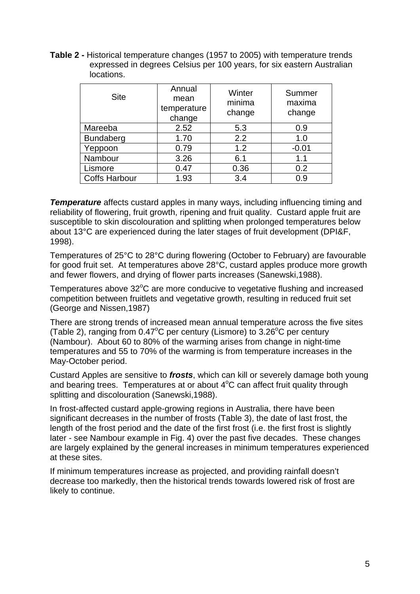**Table 2 -** Historical temperature changes (1957 to 2005) with temperature trends expressed in degrees Celsius per 100 years, for six eastern Australian locations.

| <b>Site</b>          | Annual<br>mean<br>temperature<br>change | Winter<br>minima<br>change | Summer<br>maxima<br>change |
|----------------------|-----------------------------------------|----------------------------|----------------------------|
| Mareeba              | 2.52                                    | 5.3                        | 0.9                        |
| <b>Bundaberg</b>     | 1.70                                    | 2.2                        | 1.0                        |
| Yeppoon              | 0.79                                    | 1.2                        | $-0.01$                    |
| Nambour              | 3.26                                    | 6.1                        | 1.1                        |
| Lismore              | 0.47                                    | 0.36                       | 0.2                        |
| <b>Coffs Harbour</b> | 1.93                                    | 3.4                        | 0.9                        |

**Temperature** affects custard apples in many ways, including influencing timing and reliability of flowering, fruit growth, ripening and fruit quality. Custard apple fruit are susceptible to skin discolouration and splitting when prolonged temperatures below about 13°C are experienced during the later stages of fruit development (DPI&F, 1998).

Temperatures of 25°C to 28°C during flowering (October to February) are favourable for good fruit set. At temperatures above 28°C, custard apples produce more growth and fewer flowers, and drying of flower parts increases (Sanewski,1988).

Temperatures above  $32^{\circ}$ C are more conducive to vegetative flushing and increased competition between fruitlets and vegetative growth, resulting in reduced fruit set (George and Nissen,1987)

There are strong trends of increased mean annual temperature across the five sites (Table 2), ranging from  $0.47^{\circ}$ C per century (Lismore) to  $3.26^{\circ}$ C per century (Nambour). About 60 to 80% of the warming arises from change in night-time temperatures and 55 to 70% of the warming is from temperature increases in the May-October period.

Custard Apples are sensitive to *frosts*, which can kill or severely damage both young and bearing trees. Temperatures at or about 4°C can affect fruit quality through splitting and discolouration (Sanewski,1988).

In frost-affected custard apple-growing regions in Australia, there have been significant decreases in the number of frosts (Table 3), the date of last frost, the length of the frost period and the date of the first frost (i.e. the first frost is slightly later - see Nambour example in Fig. 4) over the past five decades. These changes are largely explained by the general increases in minimum temperatures experienced at these sites.

If minimum temperatures increase as projected, and providing rainfall doesn't decrease too markedly, then the historical trends towards lowered risk of frost are likely to continue.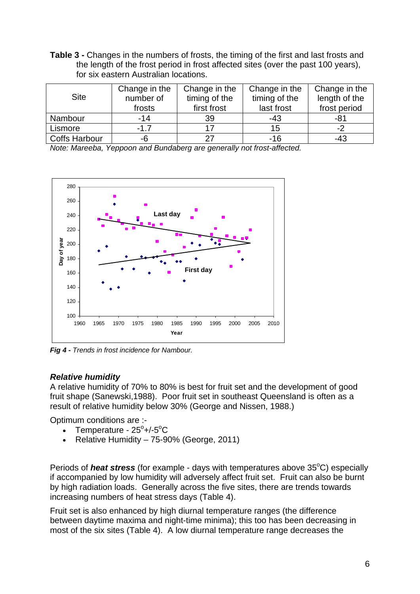**Table 3 -** Changes in the numbers of frosts, the timing of the first and last frosts and the length of the frost period in frost affected sites (over the past 100 years), for six eastern Australian locations.

| <b>Site</b>          | Change in the<br>number of<br>frosts | Change in the<br>timing of the<br>first frost | Change in the<br>timing of the<br>last frost | Change in the<br>length of the<br>frost period |
|----------------------|--------------------------------------|-----------------------------------------------|----------------------------------------------|------------------------------------------------|
| Nambour              | $-14$                                | 39                                            | $-43$                                        | -81                                            |
| Lismore              | $-17$                                |                                               | 15                                           |                                                |
| <b>Coffs Harbour</b> | -6                                   |                                               | $-16$                                        | -43                                            |

*Note: Mareeba, Yeppoon and Bundaberg are generally not frost-affected.* 



*Fig 4 - Trends in frost incidence for Nambour.* 

### *Relative humidity*

A relative humidity of 70% to 80% is best for fruit set and the development of good fruit shape (Sanewski,1988). Poor fruit set in southeast Queensland is often as a result of relative humidity below 30% (George and Nissen, 1988.)

Optimum conditions are :-

- Temperature  $25^\circ + / -5^\circ C$
- Relative Humidity  $-75-90%$  (George, 2011)

Periods of *heat stress* (for example - days with temperatures above 35°C) especially if accompanied by low humidity will adversely affect fruit set. Fruit can also be burnt by high radiation loads. Generally across the five sites, there are trends towards increasing numbers of heat stress days (Table 4).

Fruit set is also enhanced by high diurnal temperature ranges (the difference between daytime maxima and night-time minima); this too has been decreasing in most of the six sites (Table 4). A low diurnal temperature range decreases the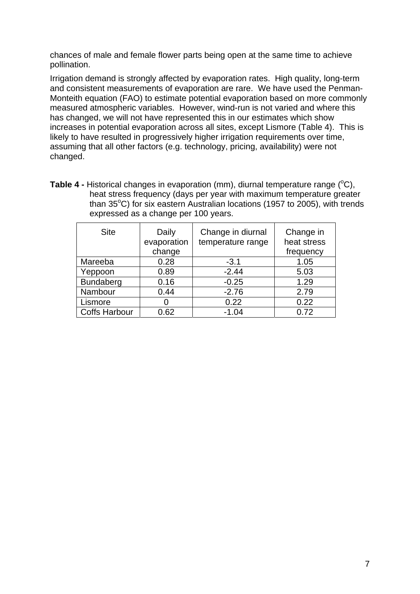chances of male and female flower parts being open at the same time to achieve pollination.

Irrigation demand is strongly affected by evaporation rates. High quality, long-term and consistent measurements of evaporation are rare. We have used the Penman-Monteith equation (FAO) to estimate potential evaporation based on more commonly measured atmospheric variables. However, wind-run is not varied and where this has changed, we will not have represented this in our estimates which show increases in potential evaporation across all sites, except Lismore (Table 4). This is likely to have resulted in progressively higher irrigation requirements over time, assuming that all other factors (e.g. technology, pricing, availability) were not changed.

Table 4 - Historical changes in evaporation (mm), diurnal temperature range (°C), heat stress frequency (days per year with maximum temperature greater than  $35^{\circ}$ C) for six eastern Australian locations (1957 to 2005), with trends expressed as a change per 100 years.

| <b>Site</b>          | Daily<br>evaporation<br>change | Change in diurnal<br>temperature range | Change in<br>heat stress<br>frequency |
|----------------------|--------------------------------|----------------------------------------|---------------------------------------|
| Mareeba              | 0.28                           | $-3.1$                                 | 1.05                                  |
| Yeppoon              | 0.89                           | $-2.44$                                | 5.03                                  |
| <b>Bundaberg</b>     | 0.16                           | $-0.25$                                | 1.29                                  |
| Nambour              | 0.44                           | $-2.76$                                | 2.79                                  |
| Lismore              |                                | 0.22                                   | 0.22                                  |
| <b>Coffs Harbour</b> | 0.62                           | $-1.04$                                | 0.72                                  |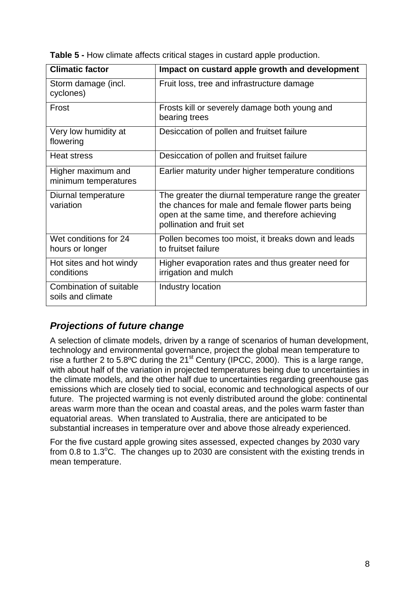| <b>Climatic factor</b>                       | Impact on custard apple growth and development                                                                                                                                             |
|----------------------------------------------|--------------------------------------------------------------------------------------------------------------------------------------------------------------------------------------------|
| Storm damage (incl.<br>cyclones)             | Fruit loss, tree and infrastructure damage                                                                                                                                                 |
| Frost                                        | Frosts kill or severely damage both young and<br>bearing trees                                                                                                                             |
| Very low humidity at<br>flowering            | Desiccation of pollen and fruitset failure                                                                                                                                                 |
| <b>Heat stress</b>                           | Desiccation of pollen and fruitset failure                                                                                                                                                 |
| Higher maximum and<br>minimum temperatures   | Earlier maturity under higher temperature conditions                                                                                                                                       |
| Diurnal temperature<br>variation             | The greater the diurnal temperature range the greater<br>the chances for male and female flower parts being<br>open at the same time, and therefore achieving<br>pollination and fruit set |
| Wet conditions for 24<br>hours or longer     | Pollen becomes too moist, it breaks down and leads<br>to fruitset failure                                                                                                                  |
| Hot sites and hot windy<br>conditions        | Higher evaporation rates and thus greater need for<br>irrigation and mulch                                                                                                                 |
| Combination of suitable<br>soils and climate | Industry location                                                                                                                                                                          |

**Table 5 -** How climate affects critical stages in custard apple production.

## *Projections of future change*

A selection of climate models, driven by a range of scenarios of human development, technology and environmental governance, project the global mean temperature to rise a further 2 to 5.8°C during the 21<sup>st</sup> Century (IPCC, 2000). This is a large range, with about half of the variation in projected temperatures being due to uncertainties in the climate models, and the other half due to uncertainties regarding greenhouse gas emissions which are closely tied to social, economic and technological aspects of our future. The projected warming is not evenly distributed around the globe: continental areas warm more than the ocean and coastal areas, and the poles warm faster than equatorial areas. When translated to Australia, there are anticipated to be substantial increases in temperature over and above those already experienced.

For the five custard apple growing sites assessed, expected changes by 2030 vary from 0.8 to 1.3 $^{\circ}$ C. The changes up to 2030 are consistent with the existing trends in mean temperature.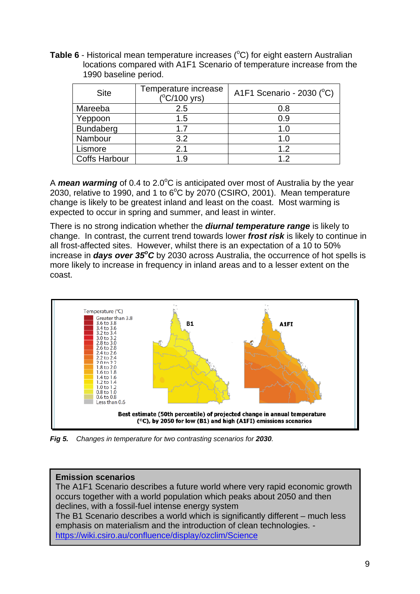Table 6 - Historical mean temperature increases (°C) for eight eastern Australian locations compared with A1F1 Scenario of temperature increase from the 1990 baseline period.

| <b>Site</b>          | Temperature increase<br>$(^{\circ}C/100$ yrs) | A1F1 Scenario - 2030 (°C) |
|----------------------|-----------------------------------------------|---------------------------|
| Mareeba              | 2.5                                           | 0.8                       |
| Yeppoon              | 1.5                                           | 0.9                       |
| <b>Bundaberg</b>     | 17                                            | 1.0                       |
| Nambour              | 3.2                                           | 1.0                       |
| Lismore              | 2 <sub>1</sub>                                | 1.2                       |
| <b>Coffs Harbour</b> | 1.9                                           | 12                        |

A *mean warming* of 0.4 to 2.0°C is anticipated over most of Australia by the year 2030, relative to 1990, and 1 to  $6^{\circ}$ C by 2070 (CSIRO, 2001). Mean temperature change is likely to be greatest inland and least on the coast. Most warming is expected to occur in spring and summer, and least in winter.

There is no strong indication whether the *diurnal temperature range* is likely to change. In contrast, the current trend towards lower *frost risk* is likely to continue in all frost-affected sites. However, whilst there is an expectation of a 10 to 50% increase in *days over 35<sup>°</sup>C* by 2030 across Australia, the occurrence of hot spells is more likely to increase in frequency in inland areas and to a lesser extent on the coast.



*Fig 5.* Changes in temperature for two contrasting scenarios for 2030.

#### **Emission scenarios**

The A1F1 Scenario describes a future world where very rapid economic growth occurs together with a world population which peaks about 2050 and then declines, with a fossil-fuel intense energy system The B1 Scenario describes a world which is significantly different – much less

emphasis on materialism and the introduction of clean technologies. https://wiki.csiro.au/confluence/display/ozclim/Science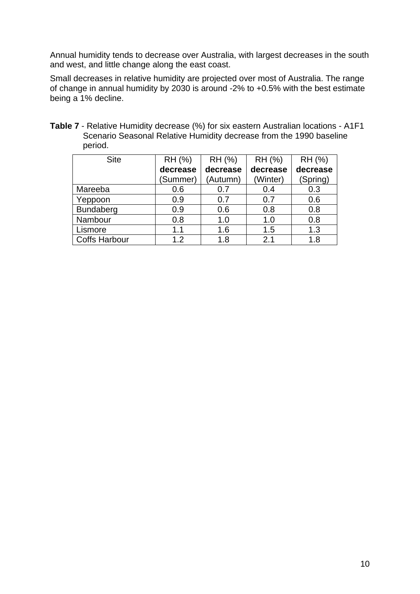Annual humidity tends to decrease over Australia, with largest decreases in the south and west, and little change along the east coast.

Small decreases in relative humidity are projected over most of Australia. The range of change in annual humidity by 2030 is around -2% to +0.5% with the best estimate being a 1% decline.

| <b>Table 7</b> - Relative Humidity decrease (%) for six eastern Australian locations - A1F1 |
|---------------------------------------------------------------------------------------------|
| Scenario Seasonal Relative Humidity decrease from the 1990 baseline                         |
| period.                                                                                     |

| <b>Site</b>          | RH (%)   | RH (%)   | RH (%)   | RH (%)   |
|----------------------|----------|----------|----------|----------|
|                      | decrease | decrease | decrease | decrease |
|                      | (Summer) | (Autumn) | (Winter) | (Spring) |
| Mareeba              | 0.6      | 0.7      | 0.4      | 0.3      |
| Yeppoon              | 0.9      | 0.7      | 0.7      | 0.6      |
| <b>Bundaberg</b>     | 0.9      | 0.6      | 0.8      | 0.8      |
| Nambour              | 0.8      | 1.0      | 1.0      | 0.8      |
| Lismore              | 1.1      | 1.6      | 1.5      | 1.3      |
| <b>Coffs Harbour</b> | 1.2      | 1.8      | 2.1      | 1.8      |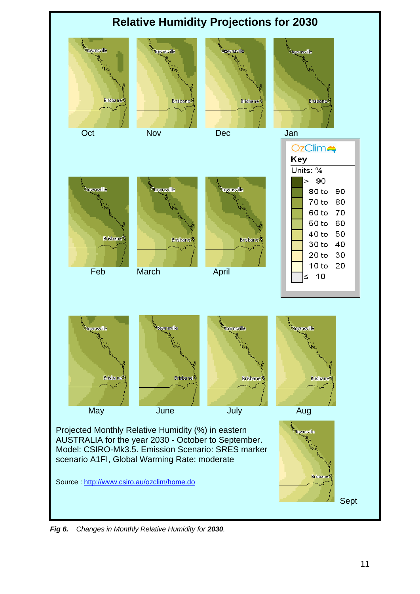

*Fig 6. Changes in Monthly Relative Humidity for 2030.*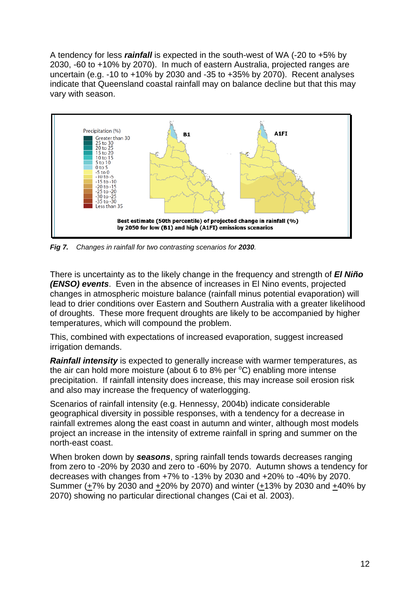A tendency for less *rainfall* is expected in the south-west of WA (-20 to +5% by 2030, -60 to +10% by 2070). In much of eastern Australia, projected ranges are uncertain (e.g. -10 to +10% by 2030 and -35 to +35% by 2070). Recent analyses indicate that Queensland coastal rainfall may on balance decline but that this may vary with season.



*Fig 7.* Changes in rainfall for two contrasting scenarios for 2030.

There is uncertainty as to the likely change in the frequency and strength of *El Niño (ENSO) events*. Even in the absence of increases in El Nino events, projected changes in atmospheric moisture balance (rainfall minus potential evaporation) will lead to drier conditions over Eastern and Southern Australia with a greater likelihood of droughts. These more frequent droughts are likely to be accompanied by higher temperatures, which will compound the problem.

This, combined with expectations of increased evaporation, suggest increased irrigation demands.

*Rainfall intensity* is expected to generally increase with warmer temperatures, as the air can hold more moisture (about 6 to 8% per  $^{\circ}$ C) enabling more intense precipitation. If rainfall intensity does increase, this may increase soil erosion risk and also may increase the frequency of waterlogging.

Scenarios of rainfall intensity (e.g. Hennessy, 2004b) indicate considerable geographical diversity in possible responses, with a tendency for a decrease in rainfall extremes along the east coast in autumn and winter, although most models project an increase in the intensity of extreme rainfall in spring and summer on the north-east coast.

When broken down by *seasons*, spring rainfall tends towards decreases ranging from zero to -20% by 2030 and zero to -60% by 2070. Autumn shows a tendency for decreases with changes from +7% to -13% by 2030 and +20% to -40% by 2070. Summer (+7% by 2030 and +20% by 2070) and winter (+13% by 2030 and +40% by 2070) showing no particular directional changes (Cai et al. 2003).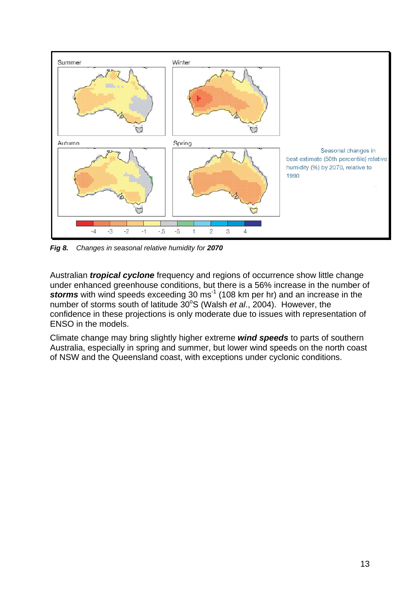

*Fig 8. Changes in seasonal relative humidity for 2070*

Australian *tropical cyclone* frequency and regions of occurrence show little change under enhanced greenhouse conditions, but there is a 56% increase in the number of *storms* with wind speeds exceeding 30 ms-1 (108 km per hr) and an increase in the number of storms south of latitude 30°S (Walsh *et al.*, 2004). However, the confidence in these projections is only moderate due to issues with representation of ENSO in the models.

Climate change may bring slightly higher extreme *wind speeds* to parts of southern Australia, especially in spring and summer, but lower wind speeds on the north coast of NSW and the Queensland coast, with exceptions under cyclonic conditions.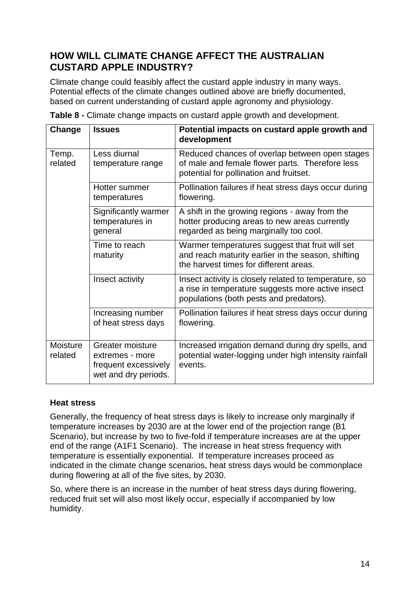## **HOW WILL CLIMATE CHANGE AFFECT THE AUSTRALIAN CUSTARD APPLE INDUSTRY?**

Climate change could feasibly affect the custard apple industry in many ways. Potential effects of the climate changes outlined above are briefly documented, based on current understanding of custard apple agronomy and physiology.

| Change                     | <b>Issues</b>                                                                       | Potential impacts on custard apple growth and<br>development                                                                                          |
|----------------------------|-------------------------------------------------------------------------------------|-------------------------------------------------------------------------------------------------------------------------------------------------------|
| Temp.<br>related           | Less diurnal<br>temperature range                                                   | Reduced chances of overlap between open stages<br>of male and female flower parts. Therefore less<br>potential for pollination and fruitset.          |
|                            | Hotter summer<br>temperatures                                                       | Pollination failures if heat stress days occur during<br>flowering.                                                                                   |
|                            | Significantly warmer<br>temperatures in<br>general                                  | A shift in the growing regions - away from the<br>hotter producing areas to new areas currently<br>regarded as being marginally too cool.             |
|                            | Time to reach<br>maturity                                                           | Warmer temperatures suggest that fruit will set<br>and reach maturity earlier in the season, shifting<br>the harvest times for different areas.       |
|                            | Insect activity                                                                     | Insect activity is closely related to temperature, so<br>a rise in temperature suggests more active insect<br>populations (both pests and predators). |
|                            | Increasing number<br>of heat stress days                                            | Pollination failures if heat stress days occur during<br>flowering.                                                                                   |
| <b>Moisture</b><br>related | Greater moisture<br>extremes - more<br>frequent excessively<br>wet and dry periods. | Increased irrigation demand during dry spells, and<br>potential water-logging under high intensity rainfall<br>events.                                |

**Table 8 -** Climate change impacts on custard apple growth and development.

### **Heat stress**

Generally, the frequency of heat stress days is likely to increase only marginally if temperature increases by 2030 are at the lower end of the projection range (B1 Scenario), but increase by two to five-fold if temperature increases are at the upper end of the range (A1F1 Scenario). The increase in heat stress frequency with temperature is essentially exponential. If temperature increases proceed as indicated in the climate change scenarios, heat stress days would be commonplace during flowering at all of the five sites, by 2030.

So, where there is an increase in the number of heat stress days during flowering, reduced fruit set will also most likely occur, especially if accompanied by low humidity.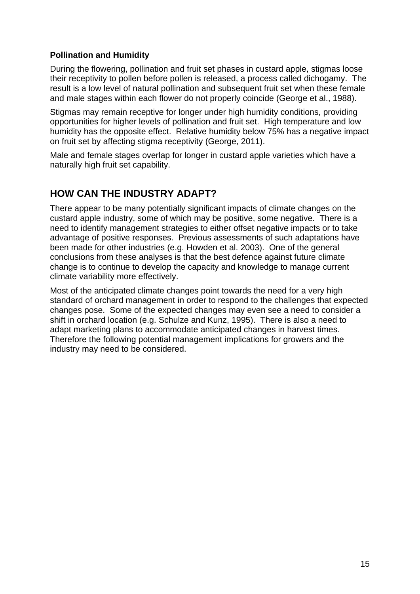### **Pollination and Humidity**

During the flowering, pollination and fruit set phases in custard apple, stigmas loose their receptivity to pollen before pollen is released, a process called dichogamy. The result is a low level of natural pollination and subsequent fruit set when these female and male stages within each flower do not properly coincide (George et al., 1988).

Stigmas may remain receptive for longer under high humidity conditions, providing opportunities for higher levels of pollination and fruit set. High temperature and low humidity has the opposite effect. Relative humidity below 75% has a negative impact on fruit set by affecting stigma receptivity (George, 2011).

Male and female stages overlap for longer in custard apple varieties which have a naturally high fruit set capability.

## **HOW CAN THE INDUSTRY ADAPT?**

There appear to be many potentially significant impacts of climate changes on the custard apple industry, some of which may be positive, some negative. There is a need to identify management strategies to either offset negative impacts or to take advantage of positive responses. Previous assessments of such adaptations have been made for other industries (e.g. Howden et al. 2003). One of the general conclusions from these analyses is that the best defence against future climate change is to continue to develop the capacity and knowledge to manage current climate variability more effectively.

Most of the anticipated climate changes point towards the need for a very high standard of orchard management in order to respond to the challenges that expected changes pose. Some of the expected changes may even see a need to consider a shift in orchard location (e.g. Schulze and Kunz, 1995). There is also a need to adapt marketing plans to accommodate anticipated changes in harvest times. Therefore the following potential management implications for growers and the industry may need to be considered.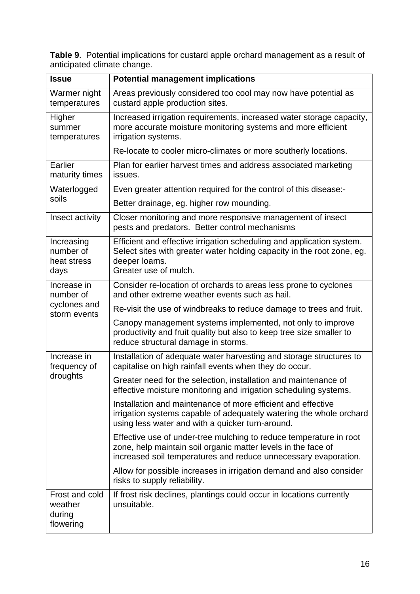**Table 9**. Potential implications for custard apple orchard management as a result of anticipated climate change.

| <b>Issue</b>                                     | <b>Potential management implications</b>                                                                                                                                                               |
|--------------------------------------------------|--------------------------------------------------------------------------------------------------------------------------------------------------------------------------------------------------------|
| Warmer night<br>temperatures                     | Areas previously considered too cool may now have potential as<br>custard apple production sites.                                                                                                      |
| Higher<br>summer<br>temperatures                 | Increased irrigation requirements, increased water storage capacity,<br>more accurate moisture monitoring systems and more efficient<br>irrigation systems.                                            |
|                                                  | Re-locate to cooler micro-climates or more southerly locations.                                                                                                                                        |
| Earlier<br>maturity times                        | Plan for earlier harvest times and address associated marketing<br>issues.                                                                                                                             |
| Waterlogged                                      | Even greater attention required for the control of this disease:-                                                                                                                                      |
| soils                                            | Better drainage, eg. higher row mounding.                                                                                                                                                              |
| Insect activity                                  | Closer monitoring and more responsive management of insect<br>pests and predators. Better control mechanisms                                                                                           |
| Increasing<br>number of<br>heat stress<br>days   | Efficient and effective irrigation scheduling and application system.<br>Select sites with greater water holding capacity in the root zone, eg.<br>deeper loams.<br>Greater use of mulch.              |
| Increase in<br>number of                         | Consider re-location of orchards to areas less prone to cyclones<br>and other extreme weather events such as hail.                                                                                     |
| cyclones and<br>storm events                     | Re-visit the use of windbreaks to reduce damage to trees and fruit.                                                                                                                                    |
|                                                  | Canopy management systems implemented, not only to improve<br>productivity and fruit quality but also to keep tree size smaller to<br>reduce structural damage in storms.                              |
| Increase in<br>frequency of                      | Installation of adequate water harvesting and storage structures to<br>capitalise on high rainfall events when they do occur.                                                                          |
| droughts                                         | Greater need for the selection, installation and maintenance of<br>effective moisture monitoring and irrigation scheduling systems.                                                                    |
|                                                  | Installation and maintenance of more efficient and effective<br>irrigation systems capable of adequately watering the whole orchard<br>using less water and with a quicker turn-around.                |
|                                                  | Effective use of under-tree mulching to reduce temperature in root<br>zone, help maintain soil organic matter levels in the face of<br>increased soil temperatures and reduce unnecessary evaporation. |
|                                                  | Allow for possible increases in irrigation demand and also consider<br>risks to supply reliability.                                                                                                    |
| Frost and cold<br>weather<br>during<br>flowering | If frost risk declines, plantings could occur in locations currently<br>unsuitable.                                                                                                                    |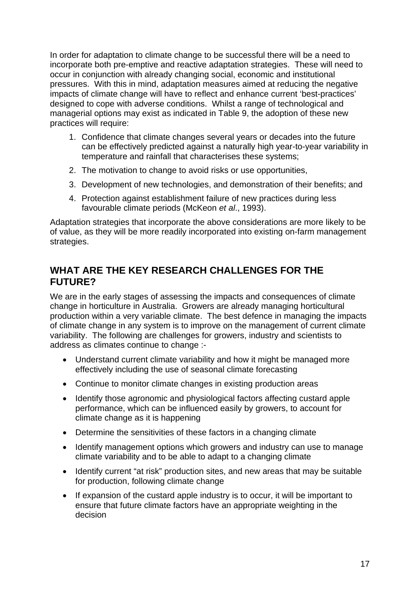In order for adaptation to climate change to be successful there will be a need to incorporate both pre-emptive and reactive adaptation strategies. These will need to occur in conjunction with already changing social, economic and institutional pressures. With this in mind, adaptation measures aimed at reducing the negative impacts of climate change will have to reflect and enhance current 'best-practices' designed to cope with adverse conditions. Whilst a range of technological and managerial options may exist as indicated in Table 9, the adoption of these new practices will require:

- 1. Confidence that climate changes several years or decades into the future can be effectively predicted against a naturally high year-to-year variability in temperature and rainfall that characterises these systems;
- 2. The motivation to change to avoid risks or use opportunities,
- 3. Development of new technologies, and demonstration of their benefits; and
- 4. Protection against establishment failure of new practices during less favourable climate periods (McKeon *et al*., 1993).

Adaptation strategies that incorporate the above considerations are more likely to be of value, as they will be more readily incorporated into existing on-farm management strategies.

## **WHAT ARE THE KEY RESEARCH CHALLENGES FOR THE FUTURE?**

We are in the early stages of assessing the impacts and consequences of climate change in horticulture in Australia. Growers are already managing horticultural production within a very variable climate. The best defence in managing the impacts of climate change in any system is to improve on the management of current climate variability. The following are challenges for growers, industry and scientists to address as climates continue to change :-

- Understand current climate variability and how it might be managed more effectively including the use of seasonal climate forecasting
- Continue to monitor climate changes in existing production areas
- Identify those agronomic and physiological factors affecting custard apple performance, which can be influenced easily by growers, to account for climate change as it is happening
- Determine the sensitivities of these factors in a changing climate
- Identify management options which growers and industry can use to manage climate variability and to be able to adapt to a changing climate
- Identify current "at risk" production sites, and new areas that may be suitable for production, following climate change
- If expansion of the custard apple industry is to occur, it will be important to ensure that future climate factors have an appropriate weighting in the decision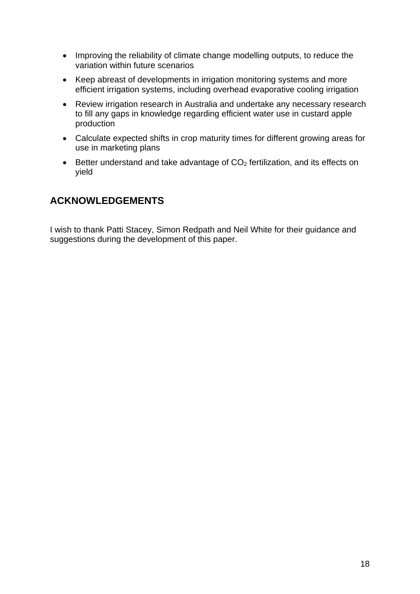- Improving the reliability of climate change modelling outputs, to reduce the variation within future scenarios
- Keep abreast of developments in irrigation monitoring systems and more efficient irrigation systems, including overhead evaporative cooling irrigation
- Review irrigation research in Australia and undertake any necessary research to fill any gaps in knowledge regarding efficient water use in custard apple production
- Calculate expected shifts in crop maturity times for different growing areas for use in marketing plans
- **Better understand and take advantage of**  $CO<sub>2</sub>$  **fertilization, and its effects on** yield

## **ACKNOWLEDGEMENTS**

I wish to thank Patti Stacey, Simon Redpath and Neil White for their guidance and suggestions during the development of this paper.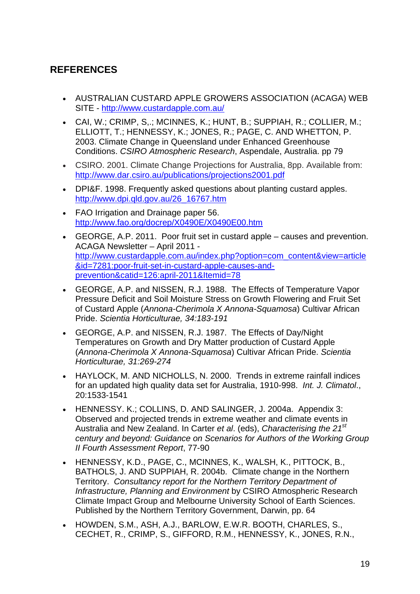# **REFERENCES**

- AUSTRALIAN CUSTARD APPLE GROWERS ASSOCIATION (ACAGA) WEB SITE - http://www.custardapple.com.au/
- CAI, W.; CRIMP, S,.; MCINNES, K.; HUNT, B.; SUPPIAH, R.; COLLIER, M.; ELLIOTT, T.; HENNESSY, K.; JONES, R.; PAGE, C. AND WHETTON, P. 2003. Climate Change in Queensland under Enhanced Greenhouse Conditions. *CSIRO Atmospheric Research*, Aspendale, Australia. pp 79
- CSIRO. 2001. Climate Change Projections for Australia, 8pp. Available from: http://www.dar.csiro.au/publications/projections2001.pdf
- DPI&F. 1998. Frequently asked questions about planting custard apples. http://www.dpi.qld.gov.au/26\_16767.htm
- FAO Irrigation and Drainage paper 56. http://www.fao.org/docrep/X0490E/X0490E00.htm
- GEORGE, A.P. 2011. Poor fruit set in custard apple causes and prevention. ACAGA Newsletter – April 2011 http://www.custardapple.com.au/index.php?option=com\_content&view=article &id=7281:poor-fruit-set-in-custard-apple-causes-andprevention&catid=126:april-2011&Itemid=78
- GEORGE, A.P. and NISSEN, R.J. 1988. The Effects of Temperature Vapor Pressure Deficit and Soil Moisture Stress on Growth Flowering and Fruit Set of Custard Apple (*Annona-Cherimola X Annona-Squamosa*) Cultivar African Pride. *Scientia Horticulturae, 34:183-191*
- GEORGE, A.P. and NISSEN, R.J. 1987. The Effects of Day/Night Temperatures on Growth and Dry Matter production of Custard Apple (*Annona-Cherimola X Annona-Squamosa*) Cultivar African Pride. *Scientia Horticulturae, 31:269-274*
- HAYLOCK, M. AND NICHOLLS, N. 2000. Trends in extreme rainfall indices for an updated high quality data set for Australia, 1910-998. *Int. J. Climatol*., 20:1533-1541
- HENNESSY. K.; COLLINS, D. AND SALINGER, J. 2004a. Appendix 3: Observed and projected trends in extreme weather and climate events in Australia and New Zealand. In Carter *et al*. (eds), *Characterising the 21st century and beyond: Guidance on Scenarios for Authors of the Working Group II Fourth Assessment Report*, 77-90
- HENNESSY, K.D., PAGE, C., MCINNES, K., WALSH, K., PITTOCK, B., BATHOLS, J. AND SUPPIAH, R. 2004b. Climate change in the Northern Territory. *Consultancy report for the Northern Territory Department of Infrastructure, Planning and Environment* by CSIRO Atmospheric Research Climate Impact Group and Melbourne University School of Earth Sciences. Published by the Northern Territory Government, Darwin, pp. 64
- HOWDEN, S.M., ASH, A.J., BARLOW, E.W.R. BOOTH, CHARLES, S., CECHET, R., CRIMP, S., GIFFORD, R.M., HENNESSY, K., JONES, R.N.,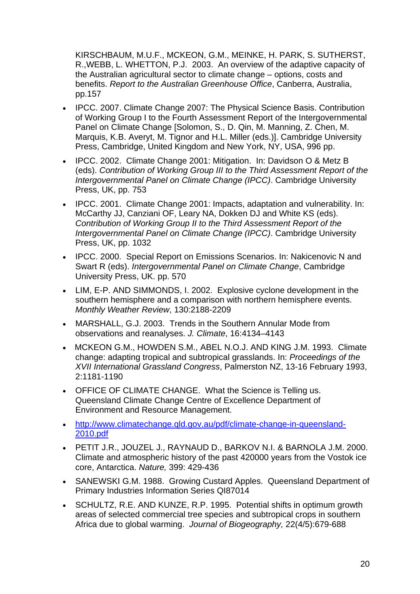KIRSCHBAUM, M.U.F., MCKEON, G.M., MEINKE, H. PARK, S. SUTHERST, R.,WEBB, L. WHETTON, P.J. 2003. An overview of the adaptive capacity of the Australian agricultural sector to climate change – options, costs and benefits. *Report to the Australian Greenhouse Office*, Canberra, Australia, pp.157

- IPCC. 2007. Climate Change 2007: The Physical Science Basis. Contribution of Working Group I to the Fourth Assessment Report of the Intergovernmental Panel on Climate Change [Solomon, S., D. Qin, M. Manning, Z. Chen, M. Marquis, K.B. Averyt, M. Tignor and H.L. Miller (eds.)]. Cambridge University Press, Cambridge, United Kingdom and New York, NY, USA, 996 pp.
- IPCC. 2002. Climate Change 2001: Mitigation. In: Davidson O & Metz B (eds). *Contribution of Working Group III to the Third Assessment Report of the Intergovernmental Panel on Climate Change (IPCC)*. Cambridge University Press, UK, pp. 753
- IPCC. 2001. Climate Change 2001: Impacts, adaptation and vulnerability. In: McCarthy JJ, Canziani OF, Leary NA, Dokken DJ and White KS (eds). *Contribution of Working Group II to the Third Assessment Report of the Intergovernmental Panel on Climate Change (IPCC)*. Cambridge University Press, UK, pp. 1032
- IPCC. 2000. Special Report on Emissions Scenarios. In: Nakicenovic N and Swart R (eds). *Intergovernmental Panel on Climate Change*, Cambridge University Press, UK. pp. 570
- LIM, E-P. AND SIMMONDS, I. 2002. Explosive cyclone development in the southern hemisphere and a comparison with northern hemisphere events. *Monthly Weather Review*, 130:2188-2209
- MARSHALL, G.J. 2003. Trends in the Southern Annular Mode from observations and reanalyses. *J. Climate*, 16:4134–4143
- MCKEON G.M., HOWDEN S.M., ABEL N.O.J. AND KING J.M. 1993. Climate change: adapting tropical and subtropical grasslands. In: *Proceedings of the XVII International Grassland Congress*, Palmerston NZ, 13-16 February 1993, 2:1181-1190
- OFFICE OF CLIMATE CHANGE. What the Science is Telling us. Queensland Climate Change Centre of Excellence Department of Environment and Resource Management.
- http://www.climatechange.qld.gov.au/pdf/climate-change-in-queensland-2010.pdf
- PETIT J.R., JOUZEL J., RAYNAUD D., BARKOV N.I. & BARNOLA J.M. 2000. Climate and atmospheric history of the past 420000 years from the Vostok ice core, Antarctica. *Nature,* 399: 429-436
- SANEWSKI G.M. 1988. Growing Custard Apples. Queensland Department of Primary Industries Information Series QI87014
- SCHULTZ, R.E. AND KUNZE, R.P. 1995. Potential shifts in optimum growth areas of selected commercial tree species and subtropical crops in southern Africa due to global warming. *Journal of Biogeography,* 22(4/5):679-688